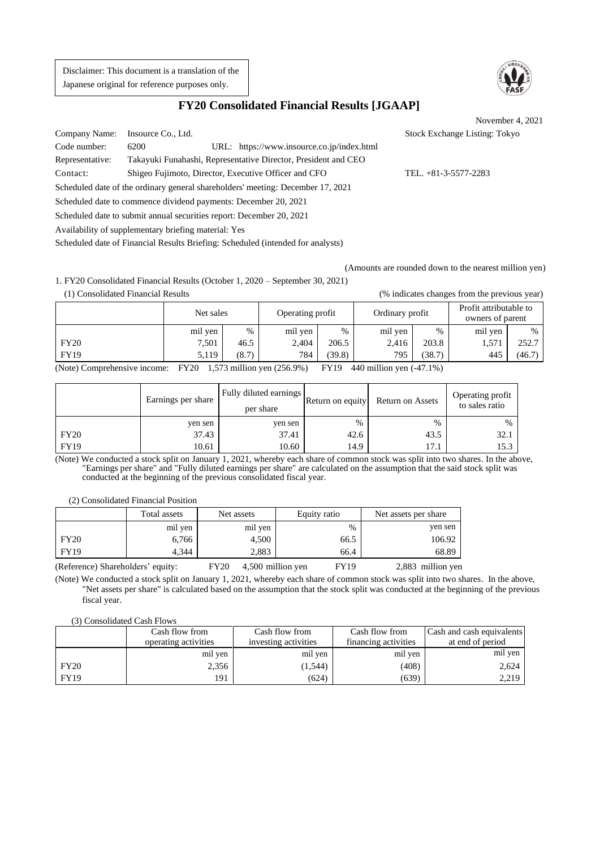Disclaimer: This document is a translation of the Japanese original for reference purposes only.



# **FY20 Consolidated Financial Results [JGAAP]**

November 4, 2021

Company Name: Insource Co., Ltd. Stock Exchange Listing: Tokyo Code number: 6200 URL: https:/[/www.insource.co.jp/index.html](http://www.insource.co.jp/index.html) Representative: Takayuki Funahashi, Representative Director, President and CEO Contact: Shigeo Fujimoto, Director, Executive Officer and CFO TEL. +81-3-5577-2283 Scheduled date of the ordinary general shareholders' meeting: December 17, 2021

Scheduled date to commence dividend payments: December 20, 2021

Scheduled date to submit annual securities report: December 20, 2021

Availability of supplementary briefing material: Yes

Scheduled date of Financial Results Briefing: Scheduled (intended for analysts)

(Amounts are rounded down to the nearest million yen)

1. FY20 Consolidated Financial Results (October 1, 2020 – September 30, 2021) (1) Consolidated Financial Results (% indicates changes from the previous year)

|              | Net sales       |                   | Operating profit |        | Ordinary profit                        |        | Profit attributable to<br>owners of parent |        |
|--------------|-----------------|-------------------|------------------|--------|----------------------------------------|--------|--------------------------------------------|--------|
|              | mil yen         | $\%$              | mil yen          | $\%$   | mil yen                                | $\%$   | mil yen                                    | $\%$   |
| <b>FY20</b>  | 7,501           | 46.5              | 2,404            | 206.5  | 2,416                                  | 203.8  | 1,57'                                      | 252.7  |
| <b>FY19</b>  | 5.119           | (8.7)             | 784              | (39.8) | 795                                    | (38.7) | 445                                        | (46.7) |
| $\mathbf{A}$ | T17700<br>1.572 | $\cdot\cdot\cdot$ | $T = 501$        | T110   | $\cdot$ 11 $\cdot$<br>$\overline{110}$ | (17.1) |                                            |        |

(Note) Comprehensive income: FY20 1,573 million yen (256.9%) FY19 440 million yen (-47.1%)

|             | Earnings per share | Fully diluted earnings<br>per share | Return on equity | Return on Assets | Operating profit<br>to sales ratio |
|-------------|--------------------|-------------------------------------|------------------|------------------|------------------------------------|
|             | yen sen            | ven sen                             | $\%$             | $\%$             | %                                  |
| <b>FY20</b> | 37.43              | 37.41                               | 42.6             | 43.5             | 32.1                               |
| <b>FY19</b> | 10.61              | 10.60                               | 14.9             | 17.1             | 15.3                               |

(Note) We conducted a stock split on January 1, 2021, whereby each share of common stock was split into two shares. In the above, "Earnings per share" and "Fully diluted earnings per share" are calculated on the assumption that the said stock split was conducted at the beginning of the previous consolidated fiscal year.

(2) Consolidated Financial Position

|             | Total assets | Net assets | Equity ratio | Net assets per share |
|-------------|--------------|------------|--------------|----------------------|
|             | mil yen      | mil yen    | %            | yen sen              |
| <b>FY20</b> | 6,766        | 4,500      | 66.5         | 106.92               |
| <b>FY19</b> | 4.344        | 2,883      | 66.4         | 68.89                |

(Reference) Shareholders' equity: FY20 4,500 million yen FY19 2,883 million yen

(Note) We conducted a stock split on January 1, 2021, whereby each share of common stock was split into two shares. In the above, "Net assets per share" is calculated based on the assumption that the stock split was conducted at the beginning of the previous fiscal year.

(3) Consolidated Cash Flows

|             | Cash flow from       | Cash flow from       | Cash flow from       | <b>Cash and cash equivalents</b> |
|-------------|----------------------|----------------------|----------------------|----------------------------------|
|             | operating activities | investing activities | financing activities | at end of period                 |
|             | mil yen              | mil yen              | mil yen              | mil yen                          |
| <b>FY20</b> | 2,356                | (1, 544)             | (408)                | 2,624                            |
| <b>FY19</b> | 191                  | (624)                | (639)                | 2,219                            |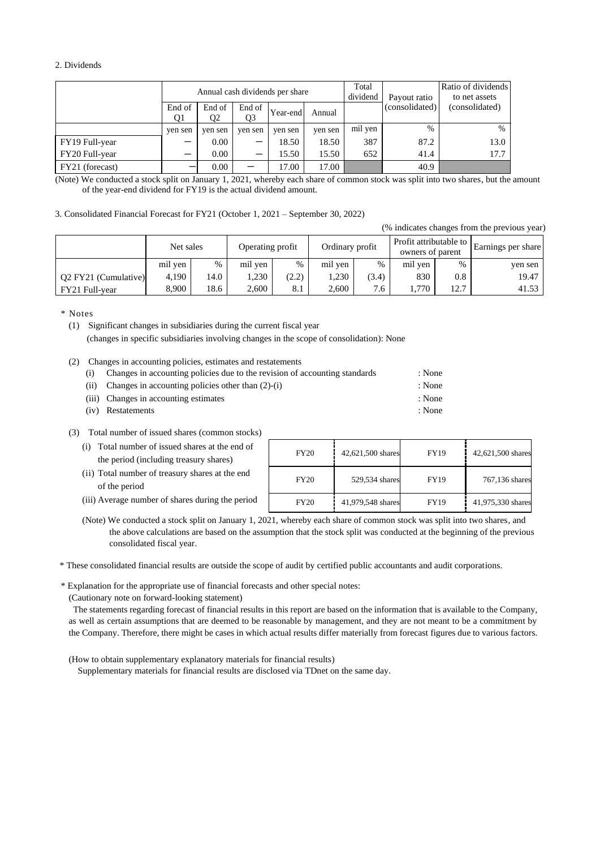## 2. Dividends

|                 | Annual cash dividends per share |                          |              |          |         | Total<br>dividend | Payout ratio   | Ratio of dividends<br>to net assets |
|-----------------|---------------------------------|--------------------------|--------------|----------|---------|-------------------|----------------|-------------------------------------|
|                 | End of<br>Q1                    | End of<br>Q <sub>2</sub> | End of<br>Q3 | Year-end | Annual  |                   | (consolidated) | (consolidated)                      |
|                 | ven sen                         | yen sen                  | ven sen      | ven sen  | ven sen | mil yen           | $\frac{0}{0}$  | $\%$                                |
| FY19 Full-year  |                                 | 0.00                     | –            | 18.50    | 18.50   | 387               | 87.2           | 13.0                                |
| FY20 Full-year  | –                               | 0.00                     | -            | 15.50    | 15.50   | 652               | 41.4           | 17.7                                |
| FY21 (forecast) |                                 | 0.00                     |              | 17.00    | 17.00   |                   | 40.9           |                                     |

(Note) We conducted a stock split on January 1, 2021, whereby each share of common stock was split into two shares, but the amount of the year-end dividend for FY19 is the actual dividend amount.

#### 3. Consolidated Financial Forecast for FY21 (October 1, 2021 – September 30, 2022)

(% indicates changes from the previous year)

|                      | Net sales |      | Operating profit |       | Ordinary profit |       | Profit attributable to<br>owners of parent |      | Earnings per share |
|----------------------|-----------|------|------------------|-------|-----------------|-------|--------------------------------------------|------|--------------------|
|                      | mil yen   | %    | mil yen          | $\%$  | mil yen         | %     | mil yen                                    | $\%$ | yen sen            |
| Q2 FY21 (Cumulative) | 4.190     | 4.0  | .230             | (2.2) | .230            | (3.4) | 830                                        | 0.8  | 19.47              |
| FY21 Full-year       | 8.900     | 18.6 | 2.600            | 8.1   | 2.600           | 7.6   | 770                                        | 12.7 | 41.53              |

\* Notes

(1) Significant changes in subsidiaries during the current fiscal year (changes in specific subsidiaries involving changes in the scope of consolidation): None

(2) Changes in accounting policies, estimates and restatements

| (i) Changes in accounting policies due to the revision of accounting standards | : None |
|--------------------------------------------------------------------------------|--------|
| (ii) Changes in accounting policies other than $(2)-(i)$                       | : None |

- (iii) Changes in accounting estimates : None
- (iv) Restatements : None
- (3) Total number of issued shares (common stocks)
	- (i) Total number of issued shares at the end of the period (including treasury shares)
	- (ii) Total number of treasury shares at the end of the period
	- (iii) Average number of shares during the period

| <b>FY20</b> | 42,621,500 shares | FY19 | 42,621,500 shares |
|-------------|-------------------|------|-------------------|
| <b>FY20</b> | 529,534 shares    | FY19 | 767,136 shares    |
| <b>FY20</b> | 41,979,548 shares | FY19 | 41,975,330 shares |

(Note) We conducted a stock split on January 1, 2021, whereby each share of common stock was split into two shares, and the above calculations are based on the assumption that the stock split was conducted at the beginning of the previous consolidated fiscal year.

\* These consolidated financial results are outside the scope of audit by certified public accountants and audit corporations.

\* Explanation for the appropriate use of financial forecasts and other special notes:

(Cautionary note on forward-looking statement)

The statements regarding forecast of financial results in this report are based on the information that is available to the Company, as well as certain assumptions that are deemed to be reasonable by management, and they are not meant to be a commitment by the Company. Therefore, there might be cases in which actual results differ materially from forecast figures due to various factors.

(How to obtain supplementary explanatory materials for financial results)

Supplementary materials for financial results are disclosed via TDnet on the same day.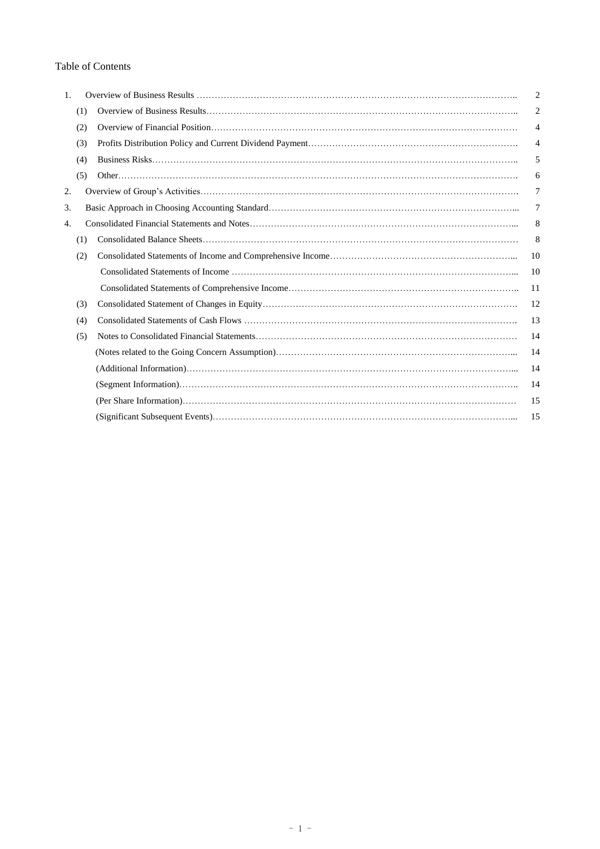# Table of Contents

| 1. |     | $\overline{2}$ |
|----|-----|----------------|
|    | (1) | 2              |
|    | (2) | 4              |
|    | (3) | 4              |
|    | (4) | 5              |
|    | (5) | 6              |
| 2. |     | 7              |
| 3. |     | 7              |
| 4. |     | 8              |
|    | (1) | 8              |
|    | (2) | 10             |
|    |     | 10             |
|    |     | 11             |
|    | (3) | 12             |
|    | (4) | 13             |
|    | (5) | 14             |
|    |     | 14             |
|    |     | 14             |
|    |     | 14             |
|    |     | 15             |
|    |     | 15             |
|    |     |                |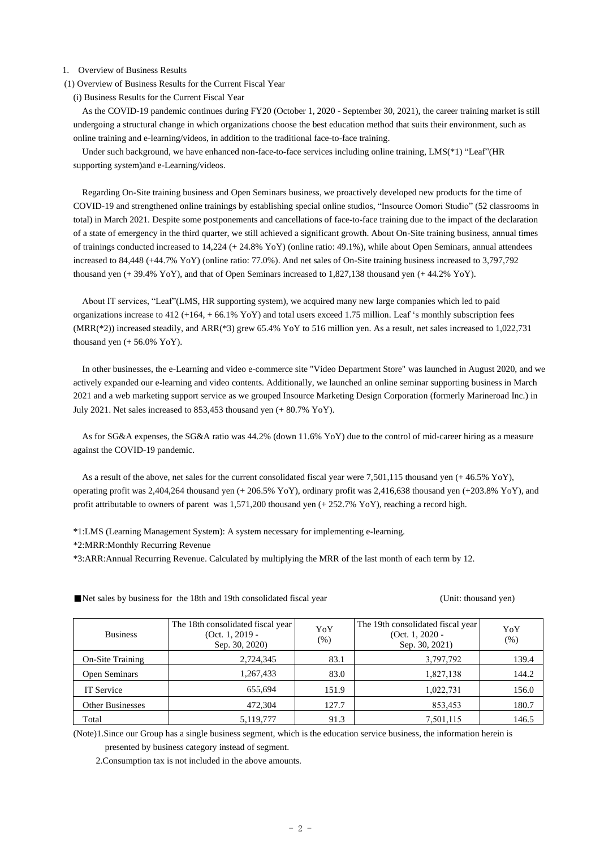### 1. Overview of Business Results

(1) Overview of Business Results for the Current Fiscal Year

(i) Business Results for the Current Fiscal Year

As the COVID-19 pandemic continues during FY20 (October 1, 2020 - September 30, 2021), the career training market is still undergoing a structural change in which organizations choose the best education method that suits their environment, such as online training and e-learning/videos, in addition to the traditional face-to-face training.

Under such background, we have enhanced non-face-to-face services including online training, LMS(\*1) "Leaf"(HR supporting system)and e-Learning/videos.

Regarding On-Site training business and Open Seminars business, we proactively developed new products for the time of COVID-19 and strengthened online trainings by establishing special online studios, "Insource Oomori Studio" (52 classrooms in total) in March 2021. Despite some postponements and cancellations of face-to-face training due to the impact of the declaration of a state of emergency in the third quarter, we still achieved a significant growth. About On-Site training business, annual times of trainings conducted increased to 14,224 (+ 24.8% YoY) (online ratio: 49.1%), while about Open Seminars, annual attendees increased to 84,448 (+44.7% YoY) (online ratio: 77.0%). And net sales of On-Site training business increased to 3,797,792 thousand yen (+ 39.4% YoY), and that of Open Seminars increased to 1,827,138 thousand yen (+ 44.2% YoY).

About IT services, "Leaf"(LMS, HR supporting system), we acquired many new large companies which led to paid organizations increase to  $412 + 164 + 66.1\%$  YoY) and total users exceed 1.75 million. Leaf 's monthly subscription fees  $(MRR(*2))$  increased steadily, and  $ARR(*3)$  grew 65.4% YoY to 516 million yen. As a result, net sales increased to 1,022,731 thousand yen  $(+ 56.0\%$  YoY).

In other businesses, the e-Learning and video e-commerce site "Video Department Store" was launched in August 2020, and we actively expanded our e-learning and video contents. Additionally, we launched an online seminar supporting business in March 2021 and a web marketing support service as we grouped Insource Marketing Design Corporation (formerly Marineroad Inc.) in July 2021. Net sales increased to 853,453 thousand yen (+ 80.7% YoY).

As for SG&A expenses, the SG&A ratio was 44.2% (down 11.6% YoY) due to the control of mid-career hiring as a measure against the COVID-19 pandemic.

As a result of the above, net sales for the current consolidated fiscal year were 7,501,115 thousand yen (+ 46.5% YoY), operating profit was 2,404,264 thousand yen (+ 206.5% YoY), ordinary profit was 2,416,638 thousand yen (+203.8% YoY), and profit attributable to owners of parent was 1,571,200 thousand yen (+ 252.7% YoY), reaching a record high.

\*1:LMS (Learning Management System): A system necessary for implementing e-learning.

\*2:MRR:Monthly Recurring Revenue

\*3:ARR:Annual Recurring Revenue. Calculated by multiplying the MRR of the last month of each term by 12.

| <b>Business</b>         | The 18th consolidated fiscal year<br>$(Oct. 1, 2019 -$<br>Sep. 30, 2020) | YoY<br>$(\%)$ | The 19th consolidated fiscal year<br>$(Oct. 1, 2020 -$<br>Sep. 30, 2021) | YoY<br>(% ) |
|-------------------------|--------------------------------------------------------------------------|---------------|--------------------------------------------------------------------------|-------------|
| <b>On-Site Training</b> | 2,724,345                                                                | 83.1          | 3,797,792                                                                | 139.4       |
| Open Seminars           | 1,267,433                                                                | 83.0          | 1,827,138                                                                | 144.2       |
| IT Service              | 655,694                                                                  | 151.9         | 1,022,731                                                                | 156.0       |
| <b>Other Businesses</b> | 472,304                                                                  | 127.7         | 853,453                                                                  | 180.7       |
| Total                   | 5,119,777                                                                | 91.3          | 7,501,115                                                                | 146.5       |

■Net sales by business for the 18th and 19th consolidated fiscal year (Unit: thousand yen)

(Note)1.Since our Group has a single business segment, which is the education service business, the information herein is presented by business category instead of segment.

2.Consumption tax is not included in the above amounts.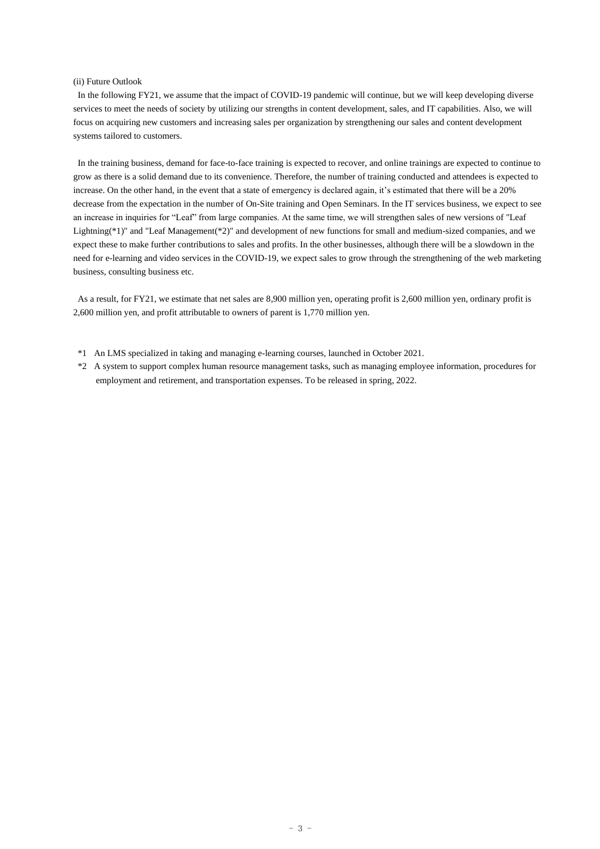### (ii) Future Outlook

In the following FY21, we assume that the impact of COVID-19 pandemic will continue, but we will keep developing diverse services to meet the needs of society by utilizing our strengths in content development, sales, and IT capabilities. Also, we will focus on acquiring new customers and increasing sales per organization by strengthening our sales and content development systems tailored to customers.

In the training business, demand for face-to-face training is expected to recover, and online trainings are expected to continue to grow as there is a solid demand due to its convenience. Therefore, the number of training conducted and attendees is expected to increase. On the other hand, in the event that a state of emergency is declared again, it's estimated that there will be a 20% decrease from the expectation in the number of On-Site training and Open Seminars. In the IT services business, we expect to see an increase in inquiries for "Leaf" from large companies. At the same time, we will strengthen sales of new versions of "Leaf Lightning(\*1)" and "Leaf Management(\*2)" and development of new functions for small and medium-sized companies, and we expect these to make further contributions to sales and profits. In the other businesses, although there will be a slowdown in the need for e-learning and video services in the COVID-19, we expect sales to grow through the strengthening of the web marketing business, consulting business etc.

As a result, for FY21, we estimate that net sales are 8,900 million yen, operating profit is 2,600 million yen, ordinary profit is 2,600 million yen, and profit attributable to owners of parent is 1,770 million yen.

- \*1 An LMS specialized in taking and managing e-learning courses, launched in October 2021.
- \*2 A system to support complex human resource management tasks, such as managing employee information, procedures for employment and retirement, and transportation expenses. To be released in spring, 2022.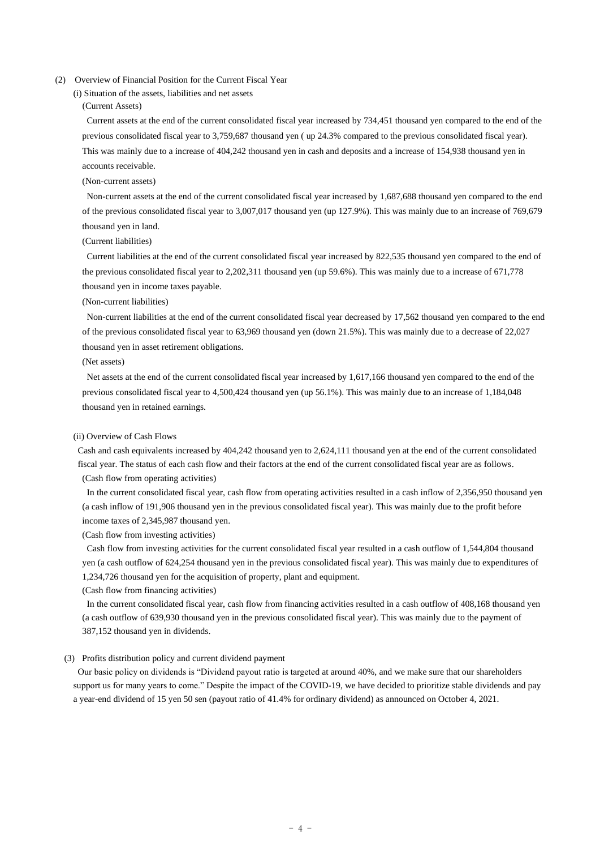## (2) Overview of Financial Position for the Current Fiscal Year

## (i) Situation of the assets, liabilities and net assets

## (Current Assets)

Current assets at the end of the current consolidated fiscal year increased by 734,451 thousand yen compared to the end of the previous consolidated fiscal year to 3,759,687 thousand yen ( up 24.3% compared to the previous consolidated fiscal year). This was mainly due to a increase of 404,242 thousand yen in cash and deposits and a increase of 154,938 thousand yen in accounts receivable.

## (Non-current assets)

Non-current assets at the end of the current consolidated fiscal year increased by 1,687,688 thousand yen compared to the end of the previous consolidated fiscal year to 3,007,017 thousand yen (up 127.9%). This was mainly due to an increase of 769,679 thousand yen in land.

## (Current liabilities)

Current liabilities at the end of the current consolidated fiscal year increased by 822,535 thousand yen compared to the end of the previous consolidated fiscal year to 2,202,311 thousand yen (up 59.6%). This was mainly due to a increase of 671,778 thousand yen in income taxes payable.

## (Non-current liabilities)

Non-current liabilities at the end of the current consolidated fiscal year decreased by 17,562 thousand yen compared to the end of the previous consolidated fiscal year to 63,969 thousand yen (down 21.5%). This was mainly due to a decrease of 22,027 thousand yen in asset retirement obligations.

## (Net assets)

Net assets at the end of the current consolidated fiscal year increased by 1,617,166 thousand yen compared to the end of the previous consolidated fiscal year to 4,500,424 thousand yen (up 56.1%). This was mainly due to an increase of 1,184,048 thousand yen in retained earnings.

## (ii) Overview of Cash Flows

Cash and cash equivalents increased by 404,242 thousand yen to 2,624,111 thousand yen at the end of the current consolidated fiscal year. The status of each cash flow and their factors at the end of the current consolidated fiscal year are as follows.

(Cash flow from operating activities)

In the current consolidated fiscal year, cash flow from operating activities resulted in a cash inflow of 2,356,950 thousand yen (a cash inflow of 191,906 thousand yen in the previous consolidated fiscal year). This was mainly due to the profit before income taxes of 2,345,987 thousand yen.

(Cash flow from investing activities)

Cash flow from investing activities for the current consolidated fiscal year resulted in a cash outflow of 1,544,804 thousand yen (a cash outflow of 624,254 thousand yen in the previous consolidated fiscal year). This was mainly due to expenditures of 1,234,726 thousand yen for the acquisition of property, plant and equipment.

(Cash flow from financing activities)

In the current consolidated fiscal year, cash flow from financing activities resulted in a cash outflow of 408,168 thousand yen (a cash outflow of 639,930 thousand yen in the previous consolidated fiscal year). This was mainly due to the payment of 387,152 thousand yen in dividends.

#### (3) Profits distribution policy and current dividend payment

Our basic policy on dividends is "Dividend payout ratio is targeted at around 40%, and we make sure that our shareholders support us for many years to come." Despite the impact of the COVID-19, we have decided to prioritize stable dividends and pay a year-end dividend of 15 yen 50 sen (payout ratio of 41.4% for ordinary dividend) as announced on October 4, 2021.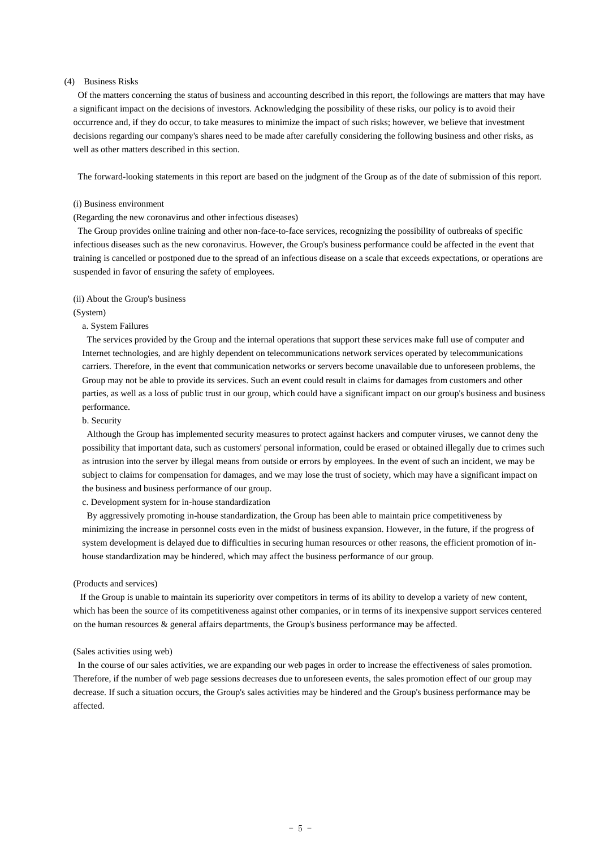## (4) Business Risks

Of the matters concerning the status of business and accounting described in this report, the followings are matters that may have a significant impact on the decisions of investors. Acknowledging the possibility of these risks, our policy is to avoid their occurrence and, if they do occur, to take measures to minimize the impact of such risks; however, we believe that investment decisions regarding our company's shares need to be made after carefully considering the following business and other risks, as well as other matters described in this section.

The forward-looking statements in this report are based on the judgment of the Group as of the date of submission of this report.

#### (i) Business environment

#### (Regarding the new coronavirus and other infectious diseases)

The Group provides online training and other non-face-to-face services, recognizing the possibility of outbreaks of specific infectious diseases such as the new coronavirus. However, the Group's business performance could be affected in the event that training is cancelled or postponed due to the spread of an infectious disease on a scale that exceeds expectations, or operations are suspended in favor of ensuring the safety of employees.

#### (ii) About the Group's business

#### (System)

### a. System Failures

The services provided by the Group and the internal operations that support these services make full use of computer and Internet technologies, and are highly dependent on telecommunications network services operated by telecommunications carriers. Therefore, in the event that communication networks or servers become unavailable due to unforeseen problems, the Group may not be able to provide its services. Such an event could result in claims for damages from customers and other parties, as well as a loss of public trust in our group, which could have a significant impact on our group's business and business performance.

#### b. Security

Although the Group has implemented security measures to protect against hackers and computer viruses, we cannot deny the possibility that important data, such as customers' personal information, could be erased or obtained illegally due to crimes such as intrusion into the server by illegal means from outside or errors by employees. In the event of such an incident, we may be subject to claims for compensation for damages, and we may lose the trust of society, which may have a significant impact on the business and business performance of our group.

c. Development system for in-house standardization

By aggressively promoting in-house standardization, the Group has been able to maintain price competitiveness by minimizing the increase in personnel costs even in the midst of business expansion. However, in the future, if the progress of system development is delayed due to difficulties in securing human resources or other reasons, the efficient promotion of inhouse standardization may be hindered, which may affect the business performance of our group.

#### (Products and services)

If the Group is unable to maintain its superiority over competitors in terms of its ability to develop a variety of new content, which has been the source of its competitiveness against other companies, or in terms of its inexpensive support services centered on the human resources & general affairs departments, the Group's business performance may be affected.

#### (Sales activities using web)

In the course of our sales activities, we are expanding our web pages in order to increase the effectiveness of sales promotion. Therefore, if the number of web page sessions decreases due to unforeseen events, the sales promotion effect of our group may decrease. If such a situation occurs, the Group's sales activities may be hindered and the Group's business performance may be affected.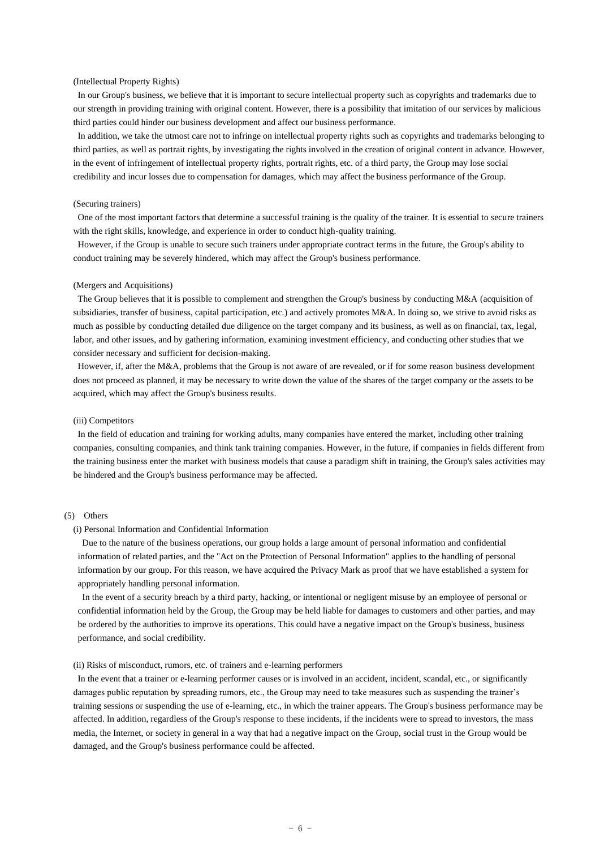## (Intellectual Property Rights)

In our Group's business, we believe that it is important to secure intellectual property such as copyrights and trademarks due to our strength in providing training with original content. However, there is a possibility that imitation of our services by malicious third parties could hinder our business development and affect our business performance.

In addition, we take the utmost care not to infringe on intellectual property rights such as copyrights and trademarks belonging to third parties, as well as portrait rights, by investigating the rights involved in the creation of original content in advance. However, in the event of infringement of intellectual property rights, portrait rights, etc. of a third party, the Group may lose social credibility and incur losses due to compensation for damages, which may affect the business performance of the Group.

#### (Securing trainers)

One of the most important factors that determine a successful training is the quality of the trainer. It is essential to secure trainers with the right skills, knowledge, and experience in order to conduct high-quality training.

However, if the Group is unable to secure such trainers under appropriate contract terms in the future, the Group's ability to conduct training may be severely hindered, which may affect the Group's business performance.

#### (Mergers and Acquisitions)

The Group believes that it is possible to complement and strengthen the Group's business by conducting M&A (acquisition of subsidiaries, transfer of business, capital participation, etc.) and actively promotes M&A. In doing so, we strive to avoid risks as much as possible by conducting detailed due diligence on the target company and its business, as well as on financial, tax, legal, labor, and other issues, and by gathering information, examining investment efficiency, and conducting other studies that we consider necessary and sufficient for decision-making.

However, if, after the M&A, problems that the Group is not aware of are revealed, or if for some reason business development does not proceed as planned, it may be necessary to write down the value of the shares of the target company or the assets to be acquired, which may affect the Group's business results.

#### (iii) Competitors

In the field of education and training for working adults, many companies have entered the market, including other training companies, consulting companies, and think tank training companies. However, in the future, if companies in fields different from the training business enter the market with business models that cause a paradigm shift in training, the Group's sales activities may be hindered and the Group's business performance may be affected.

## (5) Others

#### (i) Personal Information and Confidential Information

Due to the nature of the business operations, our group holds a large amount of personal information and confidential information of related parties, and the "Act on the Protection of Personal Information" applies to the handling of personal information by our group. For this reason, we have acquired the Privacy Mark as proof that we have established a system for appropriately handling personal information.

In the event of a security breach by a third party, hacking, or intentional or negligent misuse by an employee of personal or confidential information held by the Group, the Group may be held liable for damages to customers and other parties, and may be ordered by the authorities to improve its operations. This could have a negative impact on the Group's business, business performance, and social credibility.

## (ii) Risks of misconduct, rumors, etc. of trainers and e-learning performers

In the event that a trainer or e-learning performer causes or is involved in an accident, incident, scandal, etc., or significantly damages public reputation by spreading rumors, etc., the Group may need to take measures such as suspending the trainer's training sessions or suspending the use of e-learning, etc., in which the trainer appears. The Group's business performance may be affected. In addition, regardless of the Group's response to these incidents, if the incidents were to spread to investors, the mass media, the Internet, or society in general in a way that had a negative impact on the Group, social trust in the Group would be damaged, and the Group's business performance could be affected.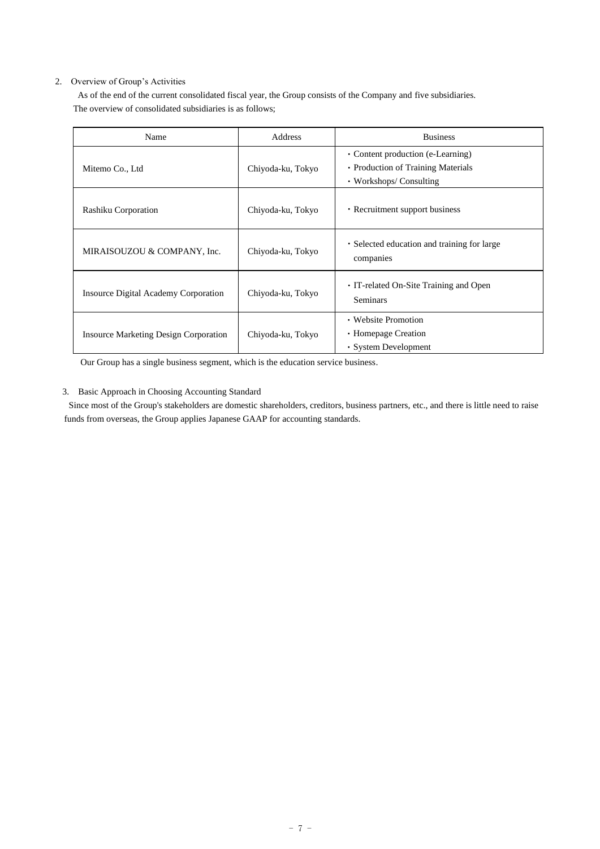## 2. Overview of Group's Activities

As of the end of the current consolidated fiscal year, the Group consists of the Company and five subsidiaries. The overview of consolidated subsidiaries is as follows;

| Name                                         | Address           | <b>Business</b>                                                                                    |
|----------------------------------------------|-------------------|----------------------------------------------------------------------------------------------------|
| Mitemo Co., Ltd                              | Chiyoda-ku, Tokyo | • Content production (e-Learning)<br>• Production of Training Materials<br>• Workshops/ Consulting |
| Rashiku Corporation                          | Chiyoda-ku, Tokyo | • Recruitment support business                                                                     |
| MIRAISOUZOU & COMPANY, Inc.                  | Chiyoda-ku, Tokyo | • Selected education and training for large<br>companies                                           |
| <b>Insource Digital Academy Corporation</b>  | Chiyoda-ku, Tokyo | • IT-related On-Site Training and Open<br>Seminars                                                 |
| <b>Insource Marketing Design Corporation</b> | Chiyoda-ku, Tokyo | • Website Promotion<br>• Homepage Creation<br>• System Development                                 |

Our Group has a single business segment, which is the education service business.

## 3. Basic Approach in Choosing Accounting Standard

Since most of the Group's stakeholders are domestic shareholders, creditors, business partners, etc., and there is little need to raise funds from overseas, the Group applies Japanese GAAP for accounting standards.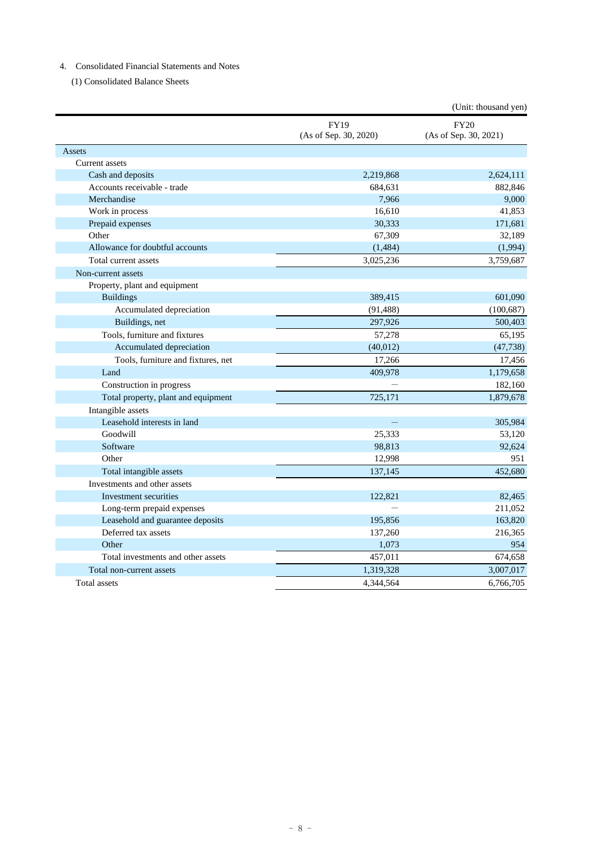# 4. Consolidated Financial Statements and Notes

(1) Consolidated Balance Sheets

|                                     |                                      | (Unit: thousand yen)                 |
|-------------------------------------|--------------------------------------|--------------------------------------|
|                                     | <b>FY19</b><br>(As of Sep. 30, 2020) | <b>FY20</b><br>(As of Sep. 30, 2021) |
| Assets                              |                                      |                                      |
| <b>Current</b> assets               |                                      |                                      |
| Cash and deposits                   | 2,219,868                            | 2,624,111                            |
| Accounts receivable - trade         | 684,631                              | 882,846                              |
| Merchandise                         | 7,966                                | 9,000                                |
| Work in process                     | 16,610                               | 41,853                               |
| Prepaid expenses                    | 30,333                               | 171,681                              |
| Other                               | 67,309                               | 32,189                               |
| Allowance for doubtful accounts     | (1, 484)                             | (1,994)                              |
| Total current assets                | 3,025,236                            | 3,759,687                            |
| Non-current assets                  |                                      |                                      |
| Property, plant and equipment       |                                      |                                      |
| <b>Buildings</b>                    | 389,415                              | 601,090                              |
| Accumulated depreciation            | (91, 488)                            | (100, 687)                           |
| Buildings, net                      | 297,926                              | 500,403                              |
| Tools, furniture and fixtures       | 57,278                               | 65,195                               |
| Accumulated depreciation            | (40, 012)                            | (47, 738)                            |
| Tools, furniture and fixtures, net  | 17,266                               | 17,456                               |
| Land                                | 409,978                              | 1,179,658                            |
| Construction in progress            |                                      | 182,160                              |
| Total property, plant and equipment | 725,171                              | 1,879,678                            |
| Intangible assets                   |                                      |                                      |
| Leasehold interests in land         |                                      | 305,984                              |
| Goodwill                            | 25,333                               | 53,120                               |
| Software                            | 98,813                               | 92,624                               |
| Other                               | 12,998                               | 951                                  |
| Total intangible assets             | 137,145                              | 452,680                              |
| Investments and other assets        |                                      |                                      |
| Investment securities               | 122,821                              | 82,465                               |
| Long-term prepaid expenses          |                                      | 211,052                              |
| Leasehold and guarantee deposits    | 195,856                              | 163,820                              |
| Deferred tax assets                 | 137,260                              | 216,365                              |
| Other                               | 1,073                                | 954                                  |
| Total investments and other assets  | 457,011                              | 674,658                              |
| Total non-current assets            | 1,319,328                            | 3,007,017                            |
| <b>Total assets</b>                 | 4,344,564                            | 6,766,705                            |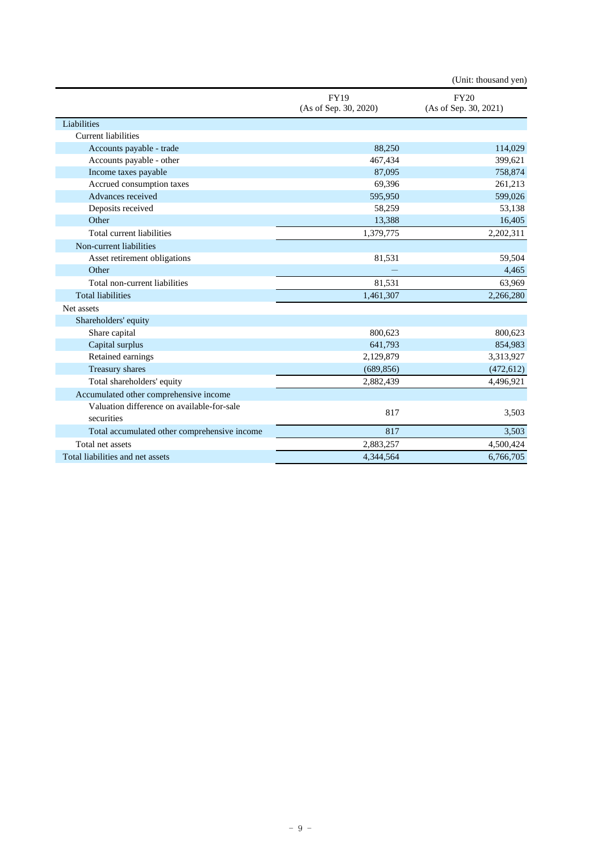|                                                          |                                      | (Unit: thousand yen)                 |
|----------------------------------------------------------|--------------------------------------|--------------------------------------|
|                                                          | <b>FY19</b><br>(As of Sep. 30, 2020) | <b>FY20</b><br>(As of Sep. 30, 2021) |
| Liabilities                                              |                                      |                                      |
| <b>Current liabilities</b>                               |                                      |                                      |
| Accounts payable - trade                                 | 88,250                               | 114,029                              |
| Accounts payable - other                                 | 467,434                              | 399,621                              |
| Income taxes payable                                     | 87,095                               | 758,874                              |
| Accrued consumption taxes                                | 69,396                               | 261,213                              |
| Advances received                                        | 595,950                              | 599,026                              |
| Deposits received                                        | 58,259                               | 53,138                               |
| Other                                                    | 13,388                               | 16,405                               |
| Total current liabilities                                | 1,379,775                            | 2,202,311                            |
| Non-current liabilities                                  |                                      |                                      |
| Asset retirement obligations                             | 81,531                               | 59,504                               |
| Other                                                    |                                      | 4,465                                |
| Total non-current liabilities                            | 81,531                               | 63,969                               |
| <b>Total liabilities</b>                                 | 1,461,307                            | 2,266,280                            |
| Net assets                                               |                                      |                                      |
| Shareholders' equity                                     |                                      |                                      |
| Share capital                                            | 800,623                              | 800,623                              |
| Capital surplus                                          | 641,793                              | 854,983                              |
| Retained earnings                                        | 2,129,879                            | 3,313,927                            |
| Treasury shares                                          | (689, 856)                           | (472, 612)                           |
| Total shareholders' equity                               | 2,882,439                            | 4,496,921                            |
| Accumulated other comprehensive income                   |                                      |                                      |
| Valuation difference on available-for-sale<br>securities | 817                                  | 3,503                                |
| Total accumulated other comprehensive income             | 817                                  | 3,503                                |
| Total net assets                                         | 2,883,257                            | 4,500,424                            |
| Total liabilities and net assets                         | 4,344,564                            | 6,766,705                            |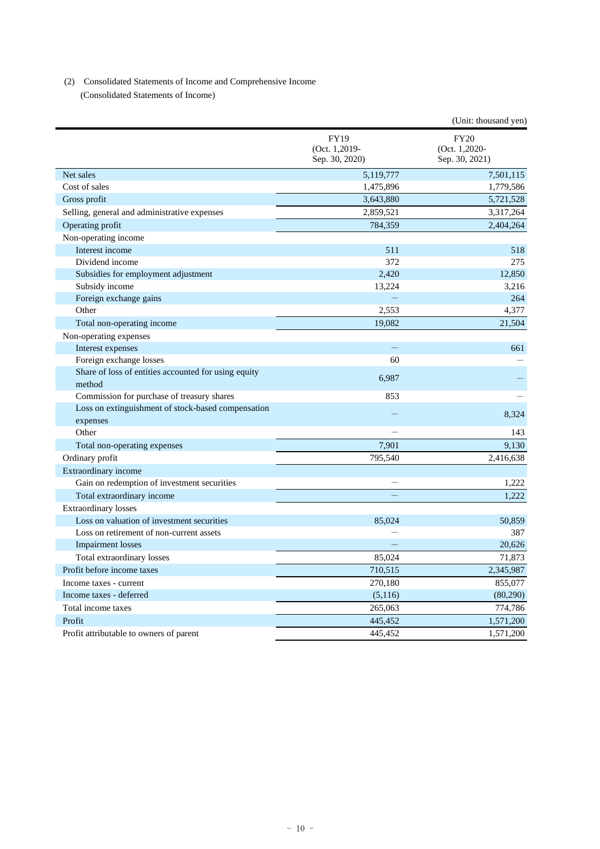## (2) Consolidated Statements of Income and Comprehensive Income

(Consolidated Statements of Income)

|                                                                |                                                | (Unit: thousand yen)                           |
|----------------------------------------------------------------|------------------------------------------------|------------------------------------------------|
|                                                                | <b>FY19</b><br>(Oct. 1,2019-<br>Sep. 30, 2020) | <b>FY20</b><br>(Oct. 1,2020-<br>Sep. 30, 2021) |
| Net sales                                                      | 5,119,777                                      | 7,501,115                                      |
| Cost of sales                                                  | 1,475,896                                      | 1,779,586                                      |
| Gross profit                                                   | 3,643,880                                      | 5,721,528                                      |
| Selling, general and administrative expenses                   | 2,859,521                                      | 3,317,264                                      |
| Operating profit                                               | 784,359                                        | 2,404,264                                      |
| Non-operating income                                           |                                                |                                                |
| Interest income                                                | 511                                            | 518                                            |
| Dividend income                                                | 372                                            | 275                                            |
| Subsidies for employment adjustment                            | 2,420                                          | 12,850                                         |
| Subsidy income                                                 | 13.224                                         | 3.216                                          |
| Foreign exchange gains                                         |                                                | 264                                            |
| Other                                                          | 2,553                                          | 4,377                                          |
| Total non-operating income                                     | 19,082                                         | 21,504                                         |
| Non-operating expenses                                         |                                                |                                                |
| Interest expenses                                              |                                                | 661                                            |
| Foreign exchange losses                                        | 60                                             |                                                |
| Share of loss of entities accounted for using equity<br>method | 6,987                                          |                                                |
| Commission for purchase of treasury shares                     | 853                                            |                                                |
| Loss on extinguishment of stock-based compensation             |                                                |                                                |
| expenses                                                       |                                                | 8,324                                          |
| Other                                                          |                                                | 143                                            |
| Total non-operating expenses                                   | 7,901                                          | 9,130                                          |
| Ordinary profit                                                | 795,540                                        | 2,416,638                                      |
| Extraordinary income                                           |                                                |                                                |
| Gain on redemption of investment securities                    | ÷.                                             | 1,222                                          |
| Total extraordinary income                                     |                                                | 1,222                                          |
| <b>Extraordinary losses</b>                                    |                                                |                                                |
| Loss on valuation of investment securities                     | 85,024                                         | 50,859                                         |
| Loss on retirement of non-current assets                       |                                                | 387                                            |
| <b>Impairment</b> losses                                       |                                                | 20,626                                         |
| Total extraordinary losses                                     | 85,024                                         | 71,873                                         |
| Profit before income taxes                                     | 710,515                                        | 2,345,987                                      |
| Income taxes - current                                         | 270,180                                        | 855,077                                        |
| Income taxes - deferred                                        | (5,116)                                        | (80,290)                                       |
| Total income taxes                                             | 265,063                                        | 774,786                                        |
| Profit                                                         | 445,452                                        | 1,571,200                                      |
| Profit attributable to owners of parent                        | 445,452                                        | 1,571,200                                      |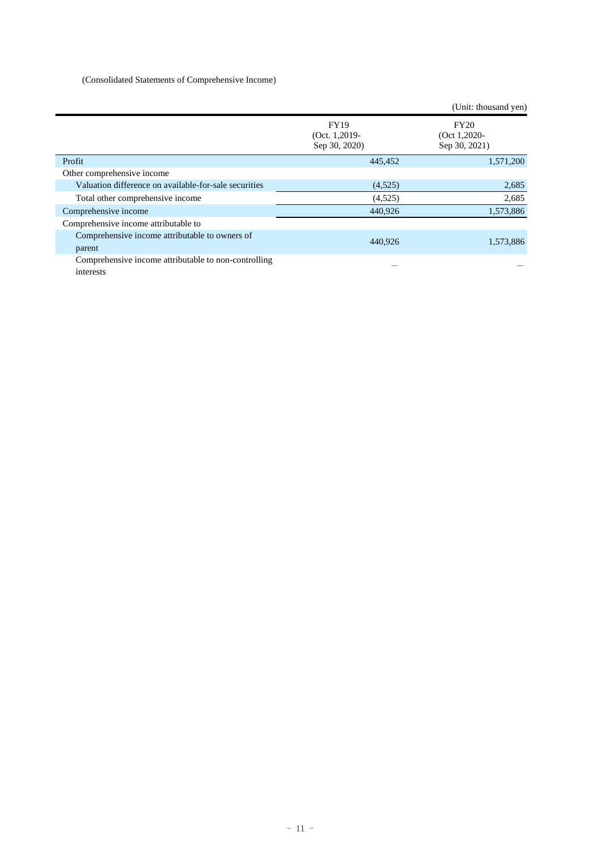# (Consolidated Statements of Comprehensive Income)

|                                                                   |                                               | (Unit: thousand yen)                            |
|-------------------------------------------------------------------|-----------------------------------------------|-------------------------------------------------|
|                                                                   | <b>FY19</b><br>(Oct. 1,2019-<br>Sep 30, 2020) | <b>FY20</b><br>(Oct $1,2020$ -<br>Sep 30, 2021) |
| Profit                                                            | 445,452                                       | 1,571,200                                       |
| Other comprehensive income                                        |                                               |                                                 |
| Valuation difference on available-for-sale securities             | (4,525)                                       | 2,685                                           |
| Total other comprehensive income                                  | (4,525)                                       | 2,685                                           |
| Comprehensive income                                              | 440,926                                       | 1,573,886                                       |
| Comprehensive income attributable to                              |                                               |                                                 |
| Comprehensive income attributable to owners of<br>parent          | 440,926                                       | 1,573,886                                       |
| Comprehensive income attributable to non-controlling<br>interests |                                               |                                                 |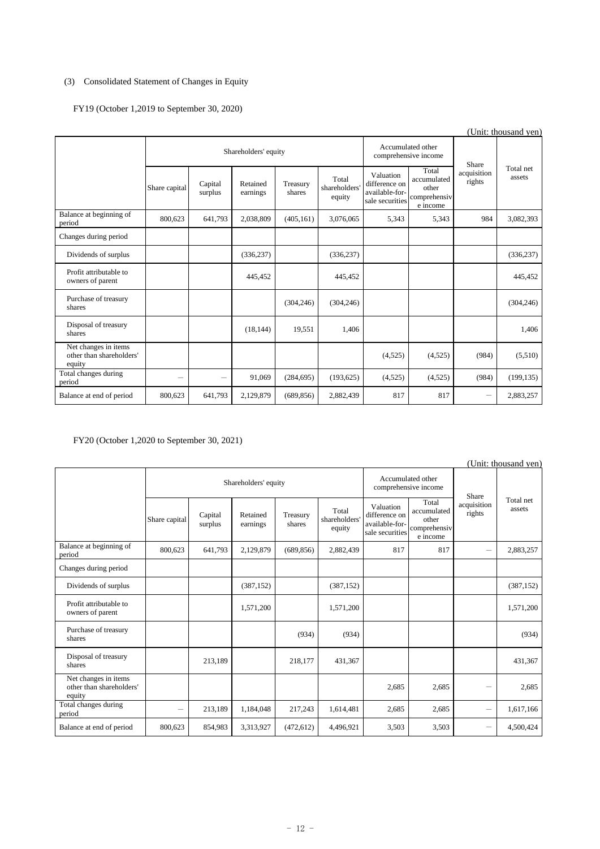# (3) Consolidated Statement of Changes in Equity

# FY19 (October 1,2019 to September 30, 2020)

| (Unit: thousand yen)                                       |                      |                    |                      |                                           |                                  |                                                                 |                                                           |                       |                     |
|------------------------------------------------------------|----------------------|--------------------|----------------------|-------------------------------------------|----------------------------------|-----------------------------------------------------------------|-----------------------------------------------------------|-----------------------|---------------------|
|                                                            | Shareholders' equity |                    |                      | Accumulated other<br>comprehensive income |                                  | Share                                                           |                                                           |                       |                     |
|                                                            | Share capital        | Capital<br>surplus | Retained<br>earnings | Treasury<br>shares                        | Total<br>shareholders'<br>equity | Valuation<br>difference on<br>available-for-<br>sale securities | Total<br>accumulated<br>other<br>comprehensiv<br>e income | acquisition<br>rights | Total net<br>assets |
| Balance at beginning of<br>period                          | 800,623              | 641,793            | 2,038,809            | (405, 161)                                | 3,076,065                        | 5,343                                                           | 5,343                                                     | 984                   | 3,082,393           |
| Changes during period                                      |                      |                    |                      |                                           |                                  |                                                                 |                                                           |                       |                     |
| Dividends of surplus                                       |                      |                    | (336, 237)           |                                           | (336, 237)                       |                                                                 |                                                           |                       | (336, 237)          |
| Profit attributable to<br>owners of parent                 |                      |                    | 445,452              |                                           | 445,452                          |                                                                 |                                                           |                       | 445,452             |
| Purchase of treasury<br>shares                             |                      |                    |                      | (304, 246)                                | (304, 246)                       |                                                                 |                                                           |                       | (304, 246)          |
| Disposal of treasury<br>shares                             |                      |                    | (18, 144)            | 19,551                                    | 1,406                            |                                                                 |                                                           |                       | 1,406               |
| Net changes in items<br>other than shareholders'<br>equity |                      |                    |                      |                                           |                                  | (4,525)                                                         | (4,525)                                                   | (984)                 | (5,510)             |
| Total changes during<br>period                             |                      | $\qquad \qquad -$  | 91,069               | (284, 695)                                | (193, 625)                       | (4,525)                                                         | (4,525)                                                   | (984)                 | (199, 135)          |
| Balance at end of period                                   | 800,623              | 641,793            | 2,129,879            | (689, 856)                                | 2,882,439                        | 817                                                             | 817                                                       |                       | 2,883,257           |

# FY20 (October 1,2020 to September 30, 2021)

| (Unit: thousand yen)                                       |                      |                    |                      |                                           |                                  |                                                                 |                                                           |                                  |                     |
|------------------------------------------------------------|----------------------|--------------------|----------------------|-------------------------------------------|----------------------------------|-----------------------------------------------------------------|-----------------------------------------------------------|----------------------------------|---------------------|
|                                                            | Shareholders' equity |                    |                      | Accumulated other<br>comprehensive income |                                  | Share                                                           |                                                           |                                  |                     |
|                                                            | Share capital        | Capital<br>surplus | Retained<br>earnings | Treasury<br>shares                        | Total<br>shareholders'<br>equity | Valuation<br>difference on<br>available-for-<br>sale securities | Total<br>accumulated<br>other<br>comprehensiv<br>e income | acquisition<br>rights            | Total net<br>assets |
| Balance at beginning of<br>period                          | 800,623              | 641,793            | 2,129,879            | (689, 856)                                | 2,882,439                        | 817                                                             | 817                                                       | $\overbrace{\phantom{12322111}}$ | 2,883,257           |
| Changes during period                                      |                      |                    |                      |                                           |                                  |                                                                 |                                                           |                                  |                     |
| Dividends of surplus                                       |                      |                    | (387, 152)           |                                           | (387, 152)                       |                                                                 |                                                           |                                  | (387, 152)          |
| Profit attributable to<br>owners of parent                 |                      |                    | 1,571,200            |                                           | 1,571,200                        |                                                                 |                                                           |                                  | 1,571,200           |
| Purchase of treasury<br>shares                             |                      |                    |                      | (934)                                     | (934)                            |                                                                 |                                                           |                                  | (934)               |
| Disposal of treasury<br>shares                             |                      | 213,189            |                      | 218,177                                   | 431,367                          |                                                                 |                                                           |                                  | 431,367             |
| Net changes in items<br>other than shareholders'<br>equity |                      |                    |                      |                                           |                                  | 2,685                                                           | 2,685                                                     | -                                | 2,685               |
| Total changes during<br>period                             | -                    | 213,189            | 1,184,048            | 217,243                                   | 1,614,481                        | 2,685                                                           | 2,685                                                     | $\qquad \qquad -$                | 1,617,166           |
| Balance at end of period                                   | 800,623              | 854,983            | 3,313,927            | (472, 612)                                | 4,496,921                        | 3,503                                                           | 3,503                                                     |                                  | 4,500,424           |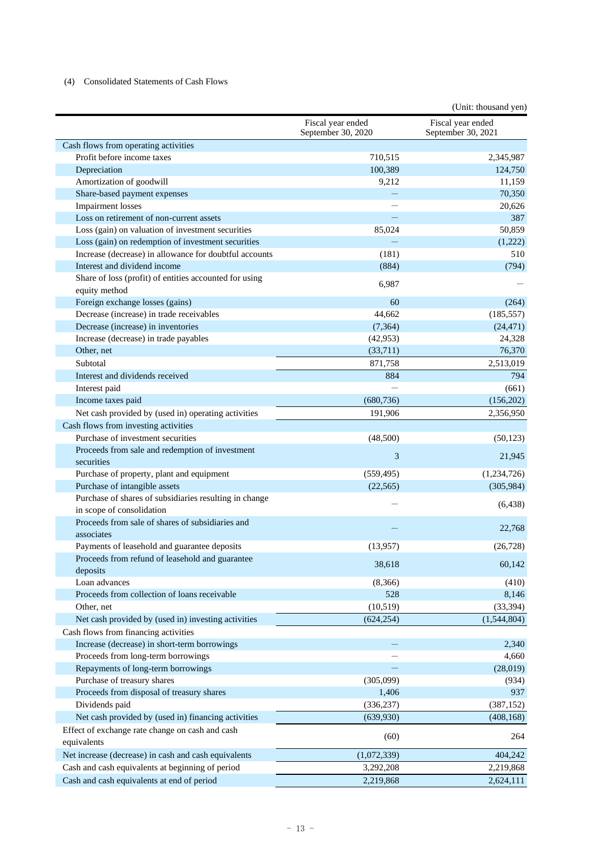## (4) Consolidated Statements of Cash Flows

|                                                                         |                                         | (Unit: thousand yen)                    |
|-------------------------------------------------------------------------|-----------------------------------------|-----------------------------------------|
|                                                                         | Fiscal year ended<br>September 30, 2020 | Fiscal year ended<br>September 30, 2021 |
| Cash flows from operating activities                                    |                                         |                                         |
| Profit before income taxes                                              | 710,515                                 | 2,345,987                               |
| Depreciation                                                            | 100,389                                 | 124,750                                 |
| Amortization of goodwill                                                | 9,212                                   | 11,159                                  |
| Share-based payment expenses                                            |                                         | 70,350                                  |
| <b>Impairment</b> losses                                                |                                         | 20,626                                  |
| Loss on retirement of non-current assets                                |                                         | 387                                     |
| Loss (gain) on valuation of investment securities                       | 85,024                                  | 50,859                                  |
| Loss (gain) on redemption of investment securities                      |                                         | (1,222)                                 |
| Increase (decrease) in allowance for doubtful accounts                  | (181)                                   | 510                                     |
| Interest and dividend income                                            | (884)                                   | (794)                                   |
| Share of loss (profit) of entities accounted for using<br>equity method | 6,987                                   |                                         |
| Foreign exchange losses (gains)                                         | 60                                      | (264)                                   |
| Decrease (increase) in trade receivables                                | 44,662                                  | (185, 557)                              |
| Decrease (increase) in inventories                                      | (7, 364)                                | (24, 471)                               |
| Increase (decrease) in trade payables                                   | (42, 953)                               | 24,328                                  |
| Other, net                                                              | (33,711)                                | 76,370                                  |
| Subtotal                                                                | 871,758                                 | 2,513,019                               |
| Interest and dividends received                                         | 884                                     | 794                                     |
| Interest paid                                                           |                                         | (661)                                   |
| Income taxes paid                                                       | (680, 736)                              | (156,202)                               |
| Net cash provided by (used in) operating activities                     | 191,906                                 | 2,356,950                               |
| Cash flows from investing activities                                    |                                         |                                         |
| Purchase of investment securities                                       | (48,500)                                | (50, 123)                               |
| Proceeds from sale and redemption of investment                         |                                         |                                         |
| securities                                                              | 3                                       | 21,945                                  |
| Purchase of property, plant and equipment                               | (559, 495)                              | (1,234,726)                             |
| Purchase of intangible assets                                           | (22, 565)                               | (305, 984)                              |
| Purchase of shares of subsidiaries resulting in change                  |                                         |                                         |
| in scope of consolidation                                               |                                         | (6, 438)                                |
| Proceeds from sale of shares of subsidiaries and                        |                                         |                                         |
| associates                                                              |                                         | 22,768                                  |
| Payments of leasehold and guarantee deposits                            | (13,957)                                | (26, 728)                               |
| Proceeds from refund of leasehold and guarantee                         |                                         |                                         |
| deposits                                                                | 38,618                                  | 60,142                                  |
| Loan advances                                                           | (8,366)                                 | (410)                                   |
| Proceeds from collection of loans receivable                            | 528                                     | 8,146                                   |
| Other, net                                                              | (10,519)                                | (33, 394)                               |
| Net cash provided by (used in) investing activities                     | (624, 254)                              | (1,544,804)                             |
| Cash flows from financing activities                                    |                                         |                                         |
| Increase (decrease) in short-term borrowings                            |                                         |                                         |
|                                                                         |                                         | 2,340                                   |
| Proceeds from long-term borrowings                                      |                                         | 4,660                                   |
| Repayments of long-term borrowings                                      |                                         | (28,019)                                |
| Purchase of treasury shares                                             | (305,099)                               | (934)                                   |
| Proceeds from disposal of treasury shares                               | 1,406                                   | 937                                     |
| Dividends paid                                                          | (336, 237)                              | (387, 152)                              |
| Net cash provided by (used in) financing activities                     | (639,930)                               | (408, 168)                              |
| Effect of exchange rate change on cash and cash                         | (60)                                    | 264                                     |
| equivalents                                                             |                                         |                                         |
| Net increase (decrease) in cash and cash equivalents                    | (1,072,339)                             | 404,242                                 |
| Cash and cash equivalents at beginning of period                        | 3,292,208                               | 2,219,868                               |
| Cash and cash equivalents at end of period                              | 2,219,868                               | 2,624,111                               |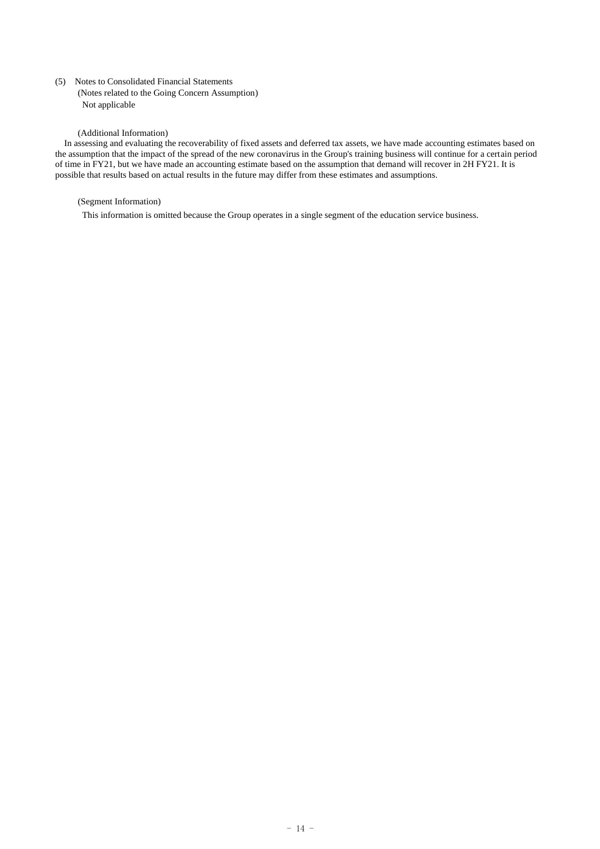(5) Notes to Consolidated Financial Statements

(Notes related to the Going Concern Assumption) Not applicable

#### (Additional Information)

In assessing and evaluating the recoverability of fixed assets and deferred tax assets, we have made accounting estimates based on the assumption that the impact of the spread of the new coronavirus in the Group's training business will continue for a certain period of time in FY21, but we have made an accounting estimate based on the assumption that demand will recover in 2H FY21. It is possible that results based on actual results in the future may differ from these estimates and assumptions.

## (Segment Information)

This information is omitted because the Group operates in a single segment of the education service business.